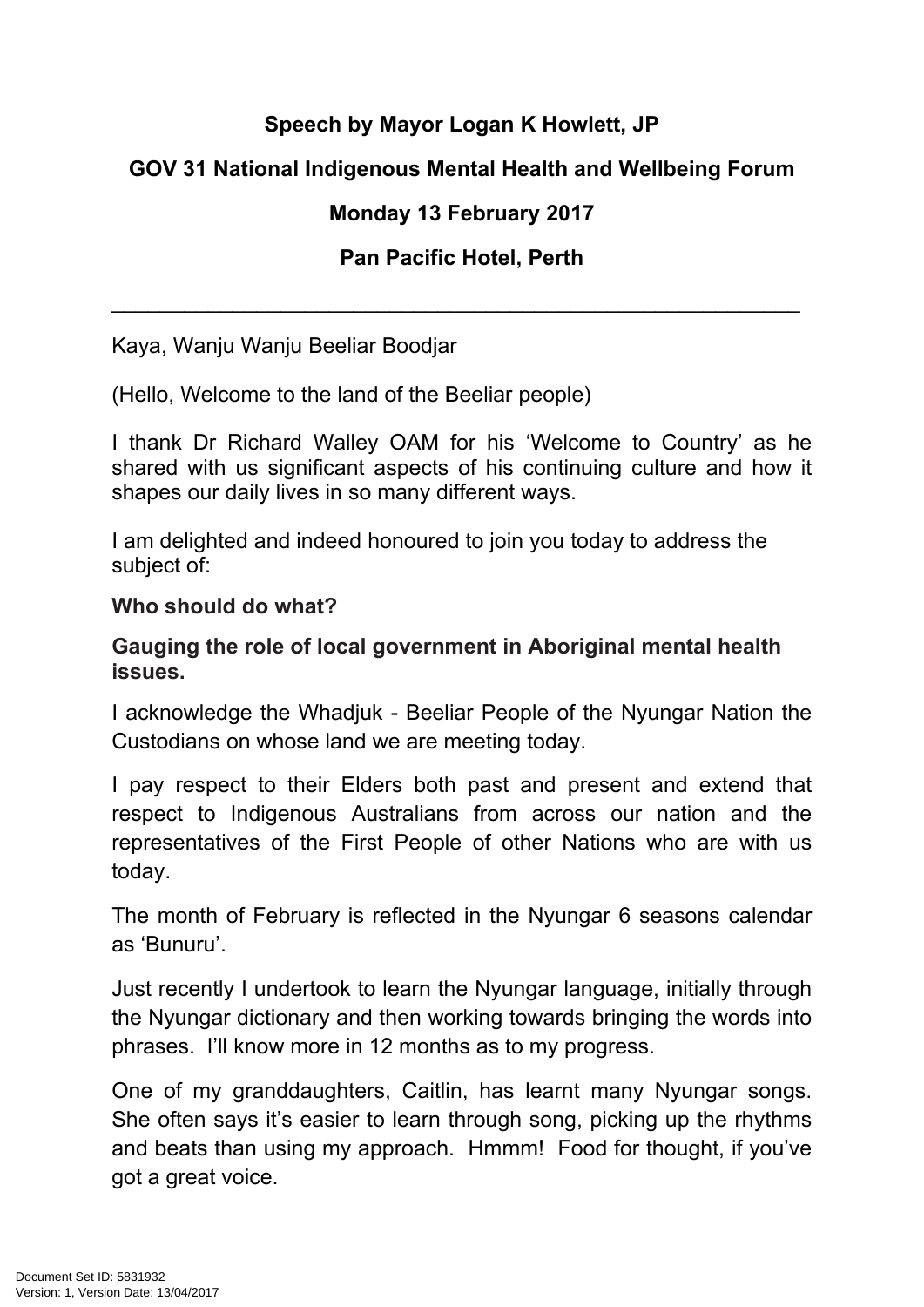# **Speech by Mayor Logan K Howlett, JP**

# **GOV 31 National Indigenous Mental Health and Wellbeing Forum**

# **Monday 13 February 2017**

### **Pan Pacific Hotel, Perth**

\_\_\_\_\_\_\_\_\_\_\_\_\_\_\_\_\_\_\_\_\_\_\_\_\_\_\_\_\_\_\_\_\_\_\_\_\_\_\_\_\_\_\_\_\_\_\_\_\_\_\_\_\_\_\_\_\_

Kaya, Wanju Wanju Beeliar Boodjar

(Hello, Welcome to the land of the Beeliar people)

I thank Dr Richard Walley OAM for his 'Welcome to Country' as he shared with us significant aspects of his continuing culture and how it shapes our daily lives in so many different ways.

I am delighted and indeed honoured to join you today to address the subject of:

#### **Who should do what?**

#### **Gauging the role of local government in Aboriginal mental health issues.**

I acknowledge the Whadjuk - Beeliar People of the Nyungar Nation the Custodians on whose land we are meeting today.

I pay respect to their Elders both past and present and extend that respect to Indigenous Australians from across our nation and the representatives of the First People of other Nations who are with us today.

The month of February is reflected in the Nyungar 6 seasons calendar as 'Bunuru'.

Just recently I undertook to learn the Nyungar language, initially through the Nyungar dictionary and then working towards bringing the words into phrases. I'll know more in 12 months as to my progress.

One of my granddaughters, Caitlin, has learnt many Nyungar songs. She often says it's easier to learn through song, picking up the rhythms and beats than using my approach. Hmmm! Food for thought, if you've got a great voice.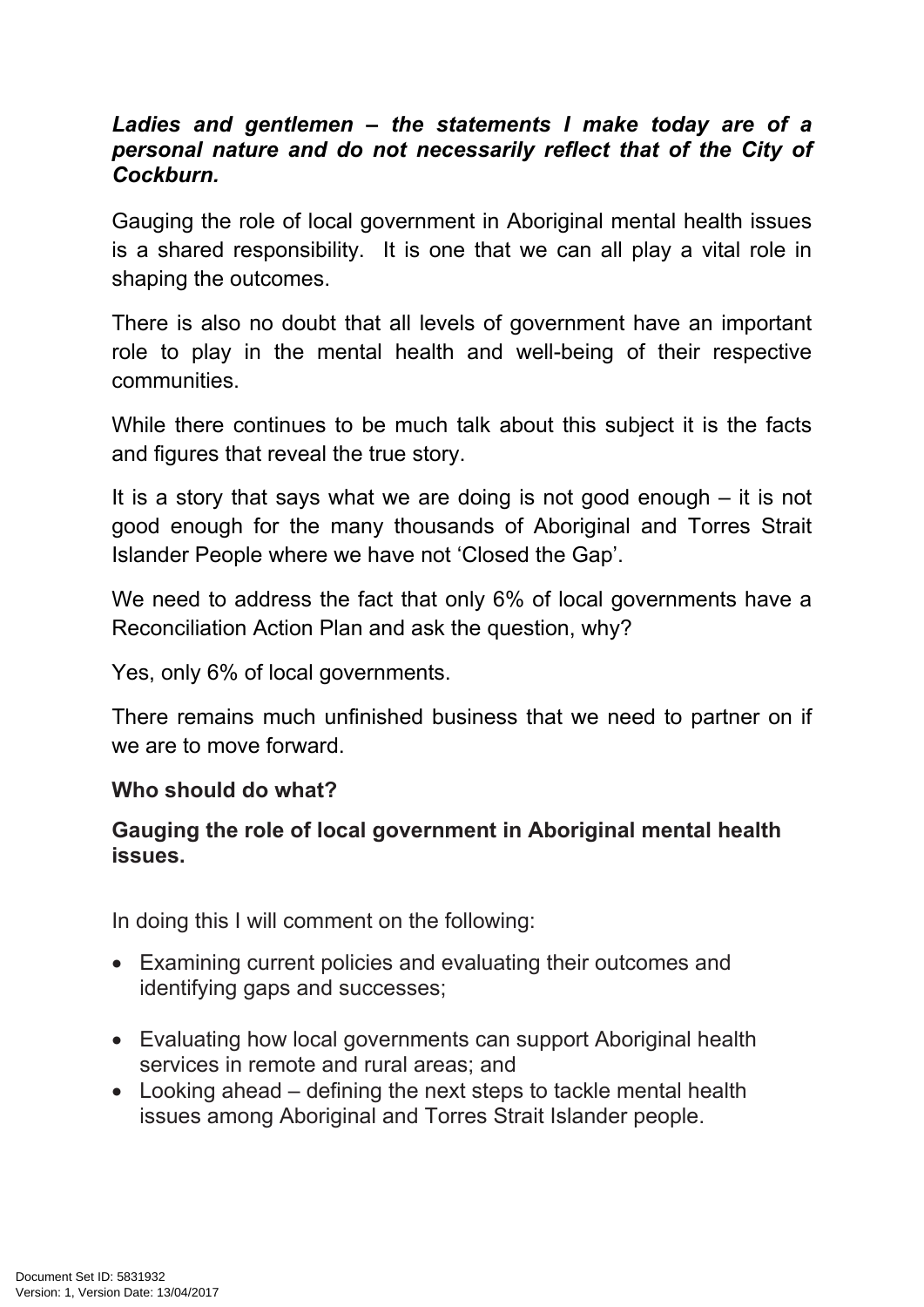#### *Ladies and gentlemen – the statements I make today are of a personal nature and do not necessarily reflect that of the City of Cockburn.*

Gauging the role of local government in Aboriginal mental health issues is a shared responsibility. It is one that we can all play a vital role in shaping the outcomes.

There is also no doubt that all levels of government have an important role to play in the mental health and well-being of their respective communities.

While there continues to be much talk about this subject it is the facts and figures that reveal the true story.

It is a story that says what we are doing is not good enough – it is not good enough for the many thousands of Aboriginal and Torres Strait Islander People where we have not 'Closed the Gap'.

We need to address the fact that only 6% of local governments have a Reconciliation Action Plan and ask the question, why?

Yes, only 6% of local governments.

There remains much unfinished business that we need to partner on if we are to move forward.

#### **Who should do what?**

#### **Gauging the role of local government in Aboriginal mental health issues.**

In doing this I will comment on the following:

- Examining current policies and evaluating their outcomes and identifying gaps and successes;
- Evaluating how local governments can support Aboriginal health services in remote and rural areas; and
- Looking ahead defining the next steps to tackle mental health issues among Aboriginal and Torres Strait Islander people.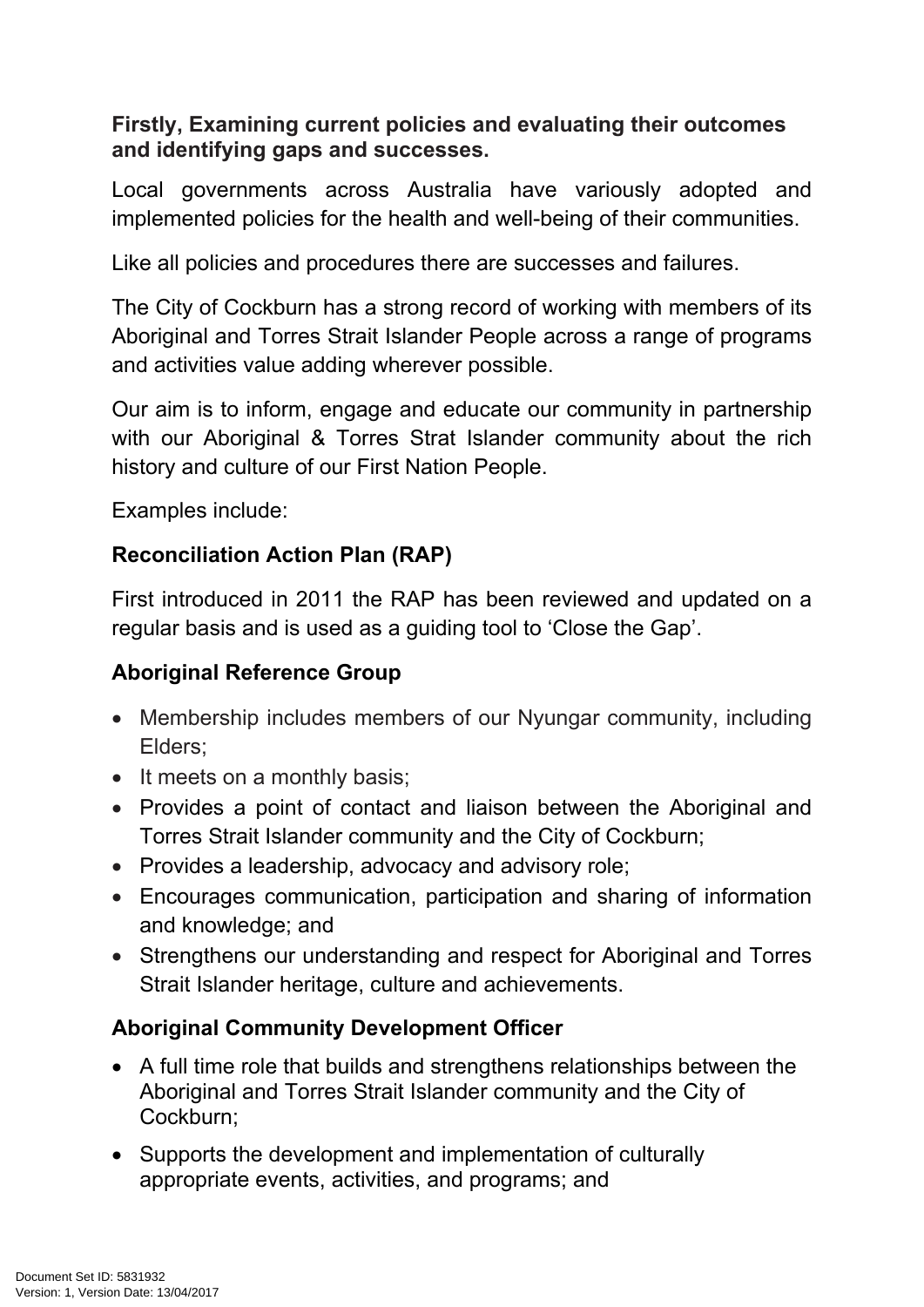### **Firstly, Examining current policies and evaluating their outcomes and identifying gaps and successes.**

Local governments across Australia have variously adopted and implemented policies for the health and well-being of their communities.

Like all policies and procedures there are successes and failures.

The City of Cockburn has a strong record of working with members of its Aboriginal and Torres Strait Islander People across a range of programs and activities value adding wherever possible.

Our aim is to inform, engage and educate our community in partnership with our Aboriginal & Torres Strat Islander community about the rich history and culture of our First Nation People.

Examples include:

### **Reconciliation Action Plan (RAP)**

First introduced in 2011 the RAP has been reviewed and updated on a regular basis and is used as a guiding tool to 'Close the Gap'.

### **Aboriginal Reference Group**

- Membership includes members of our Nyungar community, including Elders;
- It meets on a monthly basis;
- Provides a point of contact and liaison between the Aboriginal and Torres Strait Islander community and the City of Cockburn;
- Provides a leadership, advocacy and advisory role;
- Encourages communication, participation and sharing of information and knowledge; and
- Strengthens our understanding and respect for Aboriginal and Torres Strait Islander heritage, culture and achievements.

### **Aboriginal Community Development Officer**

- A full time role that builds and strengthens relationships between the Aboriginal and Torres Strait Islander community and the City of Cockburn;
- Supports the development and implementation of culturally appropriate events, activities, and programs; and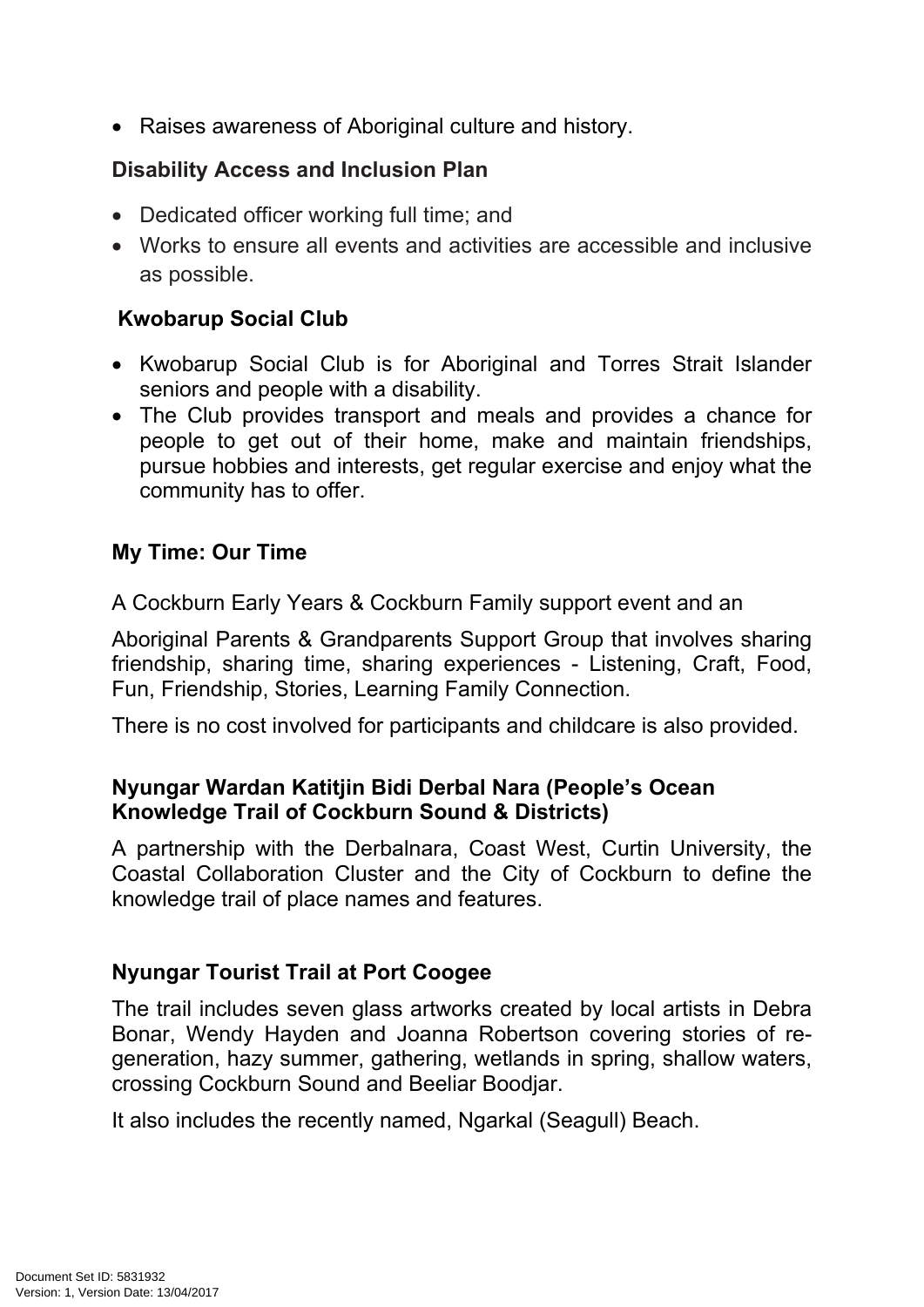• Raises awareness of Aboriginal culture and history.

### **Disability Access and Inclusion Plan**

- Dedicated officer working full time; and
- Works to ensure all events and activities are accessible and inclusive as possible.

### **Kwobarup Social Club**

- Kwobarup Social Club is for Aboriginal and Torres Strait Islander seniors and people with a disability.
- The Club provides transport and meals and provides a chance for people to get out of their home, make and maintain friendships, pursue hobbies and interests, get regular exercise and enjoy what the community has to offer.

### **My Time: Our Time**

A Cockburn Early Years & Cockburn Family support event and an

Aboriginal Parents & Grandparents Support Group that involves sharing friendship, sharing time, sharing experiences - Listening, Craft, Food, Fun, Friendship, Stories, Learning Family Connection.

There is no cost involved for participants and childcare is also provided.

#### **Nyungar Wardan Katitjin Bidi Derbal Nara (People's Ocean Knowledge Trail of Cockburn Sound & Districts)**

A partnership with the Derbalnara, Coast West, Curtin University, the Coastal Collaboration Cluster and the City of Cockburn to define the knowledge trail of place names and features.

### **Nyungar Tourist Trail at Port Coogee**

The trail includes seven glass artworks created by local artists in Debra Bonar, Wendy Hayden and Joanna Robertson covering stories of regeneration, hazy summer, gathering, wetlands in spring, shallow waters, crossing Cockburn Sound and Beeliar Boodjar.

It also includes the recently named, Ngarkal (Seagull) Beach.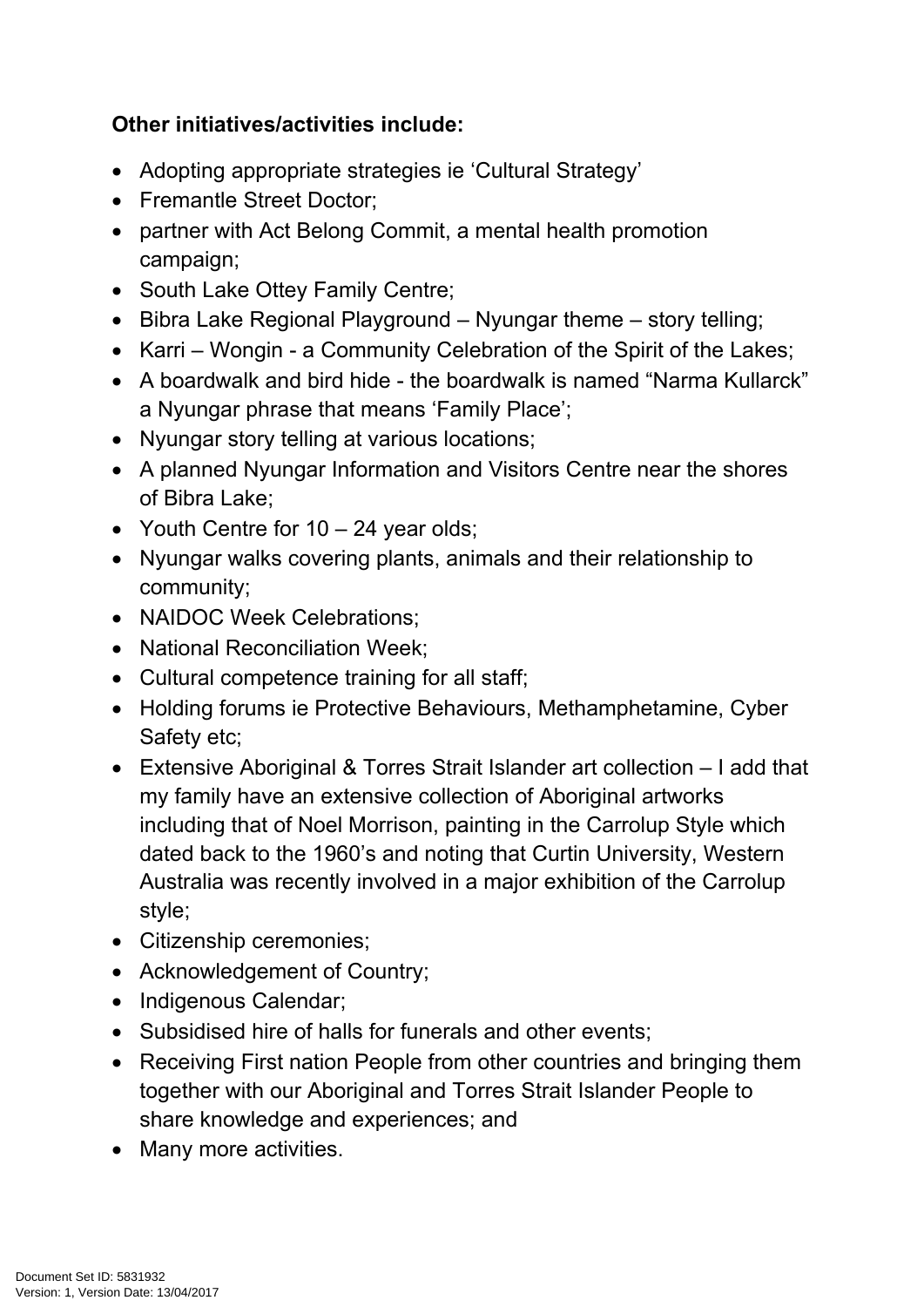# **Other initiatives/activities include:**

- Adopting appropriate strategies ie 'Cultural Strategy'
- Fremantle Street Doctor;
- partner with Act Belong Commit, a mental health promotion campaign;
- South Lake Ottey Family Centre;
- $\bullet$  Bibra Lake Regional Playground Nyungar theme story telling;
- Karri Wongin a Community Celebration of the Spirit of the Lakes:
- A boardwalk and bird hide the boardwalk is named "Narma Kullarck" a Nyungar phrase that means 'Family Place';
- Nyungar story telling at various locations;
- A planned Nyungar Information and Visitors Centre near the shores of Bibra Lake;
- Youth Centre for 10 24 year olds;
- Nyungar walks covering plants, animals and their relationship to community;
- NAIDOC Week Celebrations;
- National Reconciliation Week;
- Cultural competence training for all staff;
- Holding forums ie Protective Behaviours, Methamphetamine, Cyber Safety etc;
- Extensive Aboriginal & Torres Strait Islander art collection I add that my family have an extensive collection of Aboriginal artworks including that of Noel Morrison, painting in the Carrolup Style which dated back to the 1960's and noting that Curtin University, Western Australia was recently involved in a major exhibition of the Carrolup style;
- Citizenship ceremonies;
- Acknowledgement of Country;
- Indigenous Calendar;
- Subsidised hire of halls for funerals and other events;
- Receiving First nation People from other countries and bringing them together with our Aboriginal and Torres Strait Islander People to share knowledge and experiences; and
- Many more activities.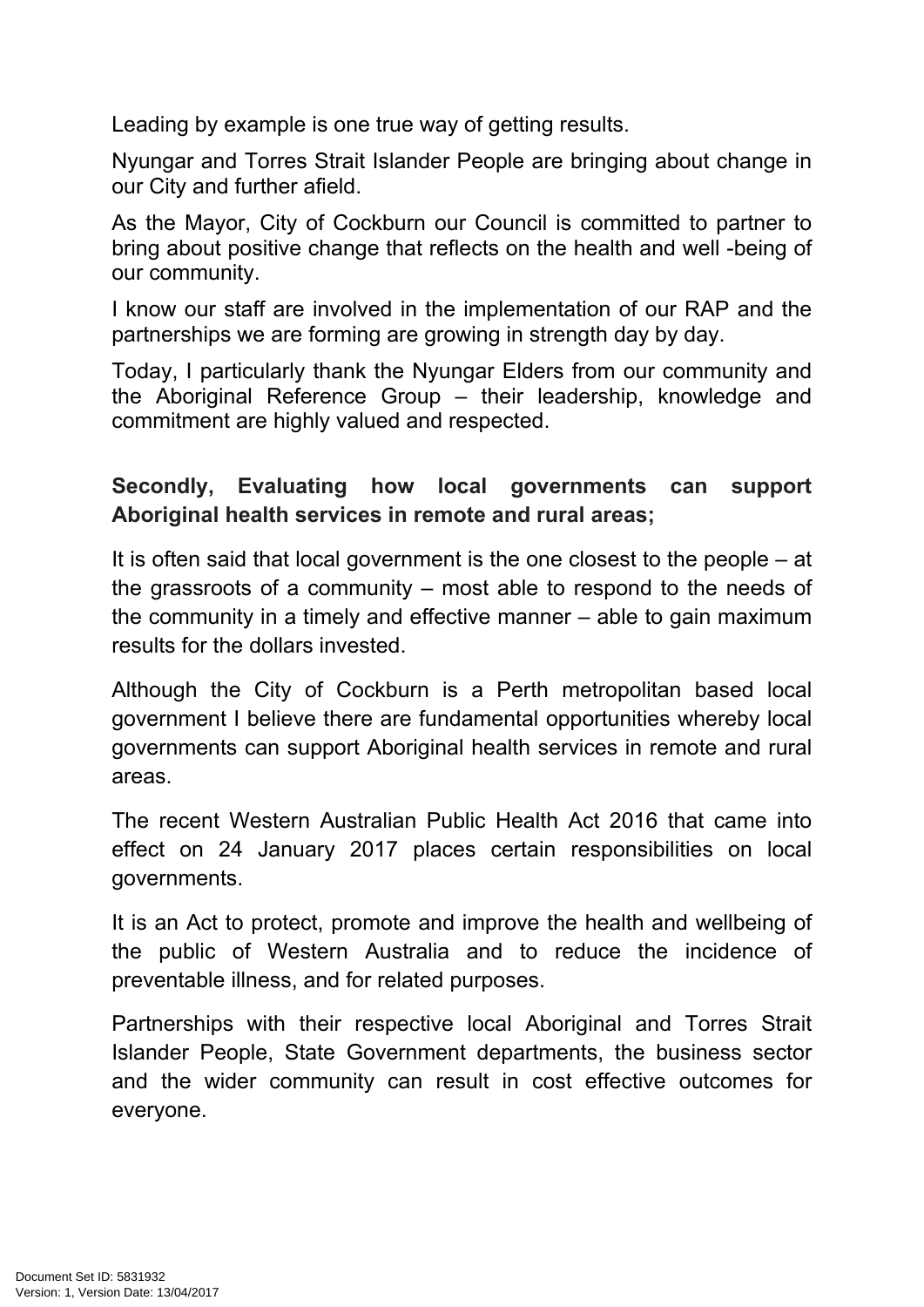Leading by example is one true way of getting results.

Nyungar and Torres Strait Islander People are bringing about change in our City and further afield.

As the Mayor, City of Cockburn our Council is committed to partner to bring about positive change that reflects on the health and well -being of our community.

I know our staff are involved in the implementation of our RAP and the partnerships we are forming are growing in strength day by day.

Today, I particularly thank the Nyungar Elders from our community and the Aboriginal Reference Group – their leadership, knowledge and commitment are highly valued and respected.

# **Secondly, Evaluating how local governments can support Aboriginal health services in remote and rural areas;**

It is often said that local government is the one closest to the people – at the grassroots of a community – most able to respond to the needs of the community in a timely and effective manner – able to gain maximum results for the dollars invested.

Although the City of Cockburn is a Perth metropolitan based local government I believe there are fundamental opportunities whereby local governments can support Aboriginal health services in remote and rural areas.

The recent Western Australian Public Health Act 2016 that came into effect on 24 January 2017 places certain responsibilities on local governments.

It is an Act to protect, promote and improve the health and wellbeing of the public of Western Australia and to reduce the incidence of preventable illness, and for related purposes.

Partnerships with their respective local Aboriginal and Torres Strait Islander People, State Government departments, the business sector and the wider community can result in cost effective outcomes for everyone.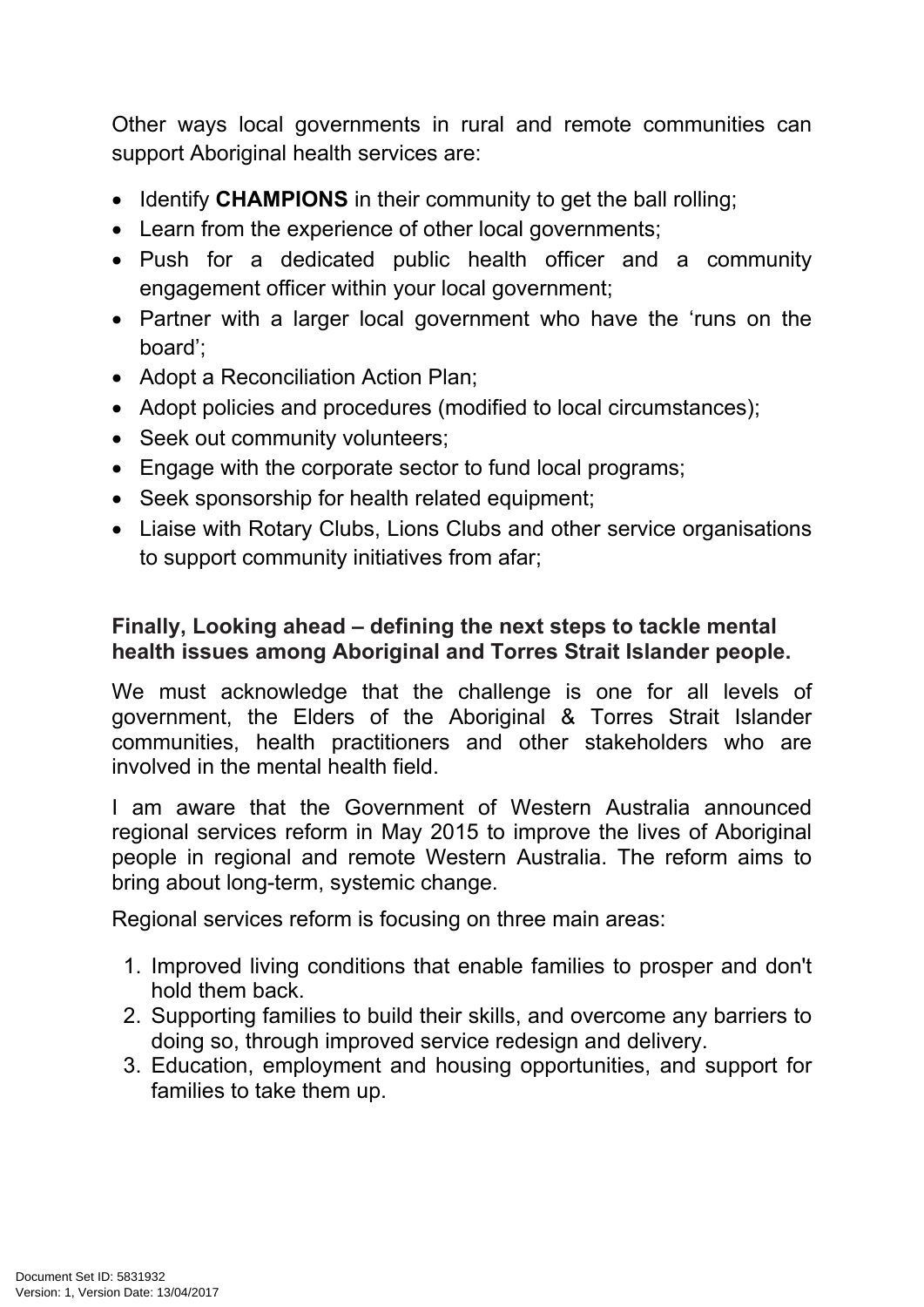Other ways local governments in rural and remote communities can support Aboriginal health services are:

- Identify **CHAMPIONS** in their community to get the ball rolling;
- Learn from the experience of other local governments:
- Push for a dedicated public health officer and a community engagement officer within your local government;
- Partner with a larger local government who have the 'runs on the board';
- Adopt a Reconciliation Action Plan;
- Adopt policies and procedures (modified to local circumstances);
- Seek out community volunteers;
- Engage with the corporate sector to fund local programs;
- Seek sponsorship for health related equipment;
- Liaise with Rotary Clubs, Lions Clubs and other service organisations to support community initiatives from afar;

#### **Finally, Looking ahead – defining the next steps to tackle mental health issues among Aboriginal and Torres Strait Islander people.**

We must acknowledge that the challenge is one for all levels of government, the Elders of the Aboriginal & Torres Strait Islander communities, health practitioners and other stakeholders who are involved in the mental health field.

I am aware that the Government of Western Australia announced regional services reform in May 2015 to improve the lives of Aboriginal people in regional and remote Western Australia. The reform aims to bring about long-term, systemic change.

Regional services reform is focusing on three main areas:

- 1. Improved living conditions that enable families to prosper and don't hold them back.
- 2. Supporting families to build their skills, and overcome any barriers to doing so, through improved service redesign and delivery.
- 3. Education, employment and housing opportunities, and support for families to take them up.